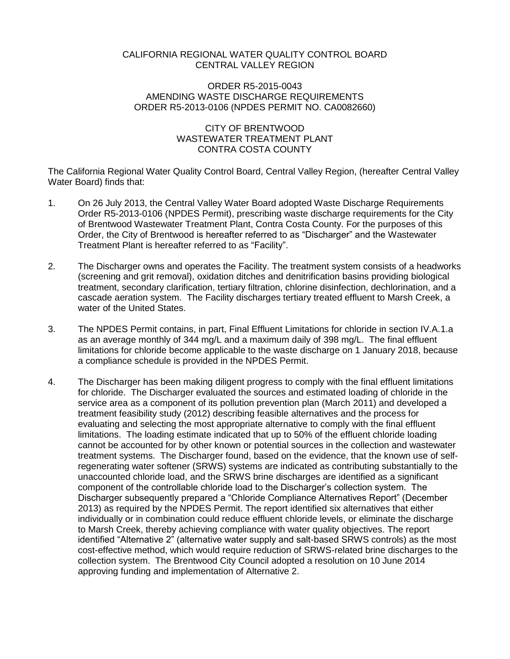### CALIFORNIA REGIONAL WATER QUALITY CONTROL BOARD CENTRAL VALLEY REGION

### ORDER R5-2015-0043 AMENDING WASTE DISCHARGE REQUIREMENTS ORDER R5-2013-0106 (NPDES PERMIT NO. CA0082660)

## CITY OF BRENTWOOD WASTEWATER TREATMENT PLANT CONTRA COSTA COUNTY

The California Regional Water Quality Control Board, Central Valley Region, (hereafter Central Valley Water Board) finds that:

- 1. On 26 July 2013, the Central Valley Water Board adopted Waste Discharge Requirements Order R5-2013-0106 (NPDES Permit), prescribing waste discharge requirements for the City of Brentwood Wastewater Treatment Plant, Contra Costa County. For the purposes of this Order, the City of Brentwood is hereafter referred to as "Discharger" and the Wastewater Treatment Plant is hereafter referred to as "Facility".
- 2. The Discharger owns and operates the Facility. The treatment system consists of a headworks (screening and grit removal), oxidation ditches and denitrification basins providing biological treatment, secondary clarification, tertiary filtration, chlorine disinfection, dechlorination, and a cascade aeration system. The Facility discharges tertiary treated effluent to Marsh Creek, a water of the United States.
- 3. The NPDES Permit contains, in part, Final Effluent Limitations for chloride in section IV.A.1.a as an average monthly of 344 mg/L and a maximum daily of 398 mg/L. The final effluent limitations for chloride become applicable to the waste discharge on 1 January 2018, because a compliance schedule is provided in the NPDES Permit.
- 4. The Discharger has been making diligent progress to comply with the final effluent limitations for chloride. The Discharger evaluated the sources and estimated loading of chloride in the service area as a component of its pollution prevention plan (March 2011) and developed a treatment feasibility study (2012) describing feasible alternatives and the process for evaluating and selecting the most appropriate alternative to comply with the final effluent limitations. The loading estimate indicated that up to 50% of the effluent chloride loading cannot be accounted for by other known or potential sources in the collection and wastewater treatment systems. The Discharger found, based on the evidence, that the known use of selfregenerating water softener (SRWS) systems are indicated as contributing substantially to the unaccounted chloride load, and the SRWS brine discharges are identified as a significant component of the controllable chloride load to the Discharger's collection system. The Discharger subsequently prepared a "Chloride Compliance Alternatives Report" (December 2013) as required by the NPDES Permit. The report identified six alternatives that either individually or in combination could reduce effluent chloride levels, or eliminate the discharge to Marsh Creek, thereby achieving compliance with water quality objectives. The report identified "Alternative 2" (alternative water supply and salt-based SRWS controls) as the most cost-effective method, which would require reduction of SRWS-related brine discharges to the collection system. The Brentwood City Council adopted a resolution on 10 June 2014 approving funding and implementation of Alternative 2.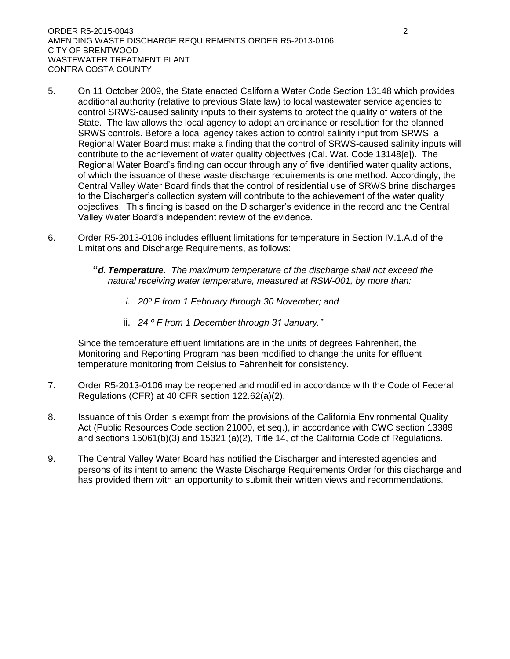- 5. On 11 October 2009, the State enacted California Water Code Section 13148 which provides additional authority (relative to previous State law) to local wastewater service agencies to control SRWS-caused salinity inputs to their systems to protect the quality of waters of the State. The law allows the local agency to adopt an ordinance or resolution for the planned SRWS controls. Before a local agency takes action to control salinity input from SRWS, a Regional Water Board must make a finding that the control of SRWS-caused salinity inputs will contribute to the achievement of water quality objectives (Cal. Wat. Code 13148[e]). The Regional Water Board's finding can occur through any of five identified water quality actions, of which the issuance of these waste discharge requirements is one method. Accordingly, the Central Valley Water Board finds that the control of residential use of SRWS brine discharges to the Discharger's collection system will contribute to the achievement of the water quality objectives. This finding is based on the Discharger's evidence in the record and the Central Valley Water Board's independent review of the evidence.
- 6. Order R5-2013-0106 includes effluent limitations for temperature in Section IV.1.A.d of the Limitations and Discharge Requirements, as follows:
	- **"***d. Temperature. The maximum temperature of the discharge shall not exceed the natural receiving water temperature, measured at RSW-001, by more than:*
		- *i. 20º F from 1 February through 30 November; and*
		- ii. *24 º F from 1 December through 31 January."*

Since the temperature effluent limitations are in the units of degrees Fahrenheit, the Monitoring and Reporting Program has been modified to change the units for effluent temperature monitoring from Celsius to Fahrenheit for consistency.

- 7. Order R5-2013-0106 may be reopened and modified in accordance with the Code of Federal Regulations (CFR) at 40 CFR section 122.62(a)(2).
- 8. Issuance of this Order is exempt from the provisions of the California Environmental Quality Act (Public Resources Code section 21000, et seq.), in accordance with CWC section 13389 and sections 15061(b)(3) and 15321 (a)(2), Title 14, of the California Code of Regulations.
- 9. The Central Valley Water Board has notified the Discharger and interested agencies and persons of its intent to amend the Waste Discharge Requirements Order for this discharge and has provided them with an opportunity to submit their written views and recommendations.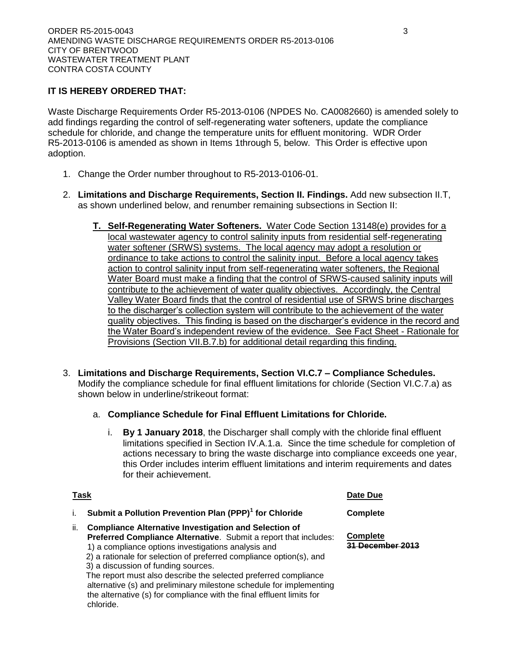# **IT IS HEREBY ORDERED THAT:**

Waste Discharge Requirements Order R5-2013-0106 (NPDES No. CA0082660) is amended solely to add findings regarding the control of self-regenerating water softeners, update the compliance schedule for chloride, and change the temperature units for effluent monitoring. WDR Order R5-2013-0106 is amended as shown in Items 1through 5, below. This Order is effective upon adoption.

- 1. Change the Order number throughout to R5-2013-0106-01.
- 2. **Limitations and Discharge Requirements, Section II. Findings.** Add new subsection II.T, as shown underlined below, and renumber remaining subsections in Section II:
	- **T. Self-Regenerating Water Softeners.** Water Code Section 13148(e) provides for a local wastewater agency to control salinity inputs from residential self-regenerating water softener (SRWS) systems. The local agency may adopt a resolution or ordinance to take actions to control the salinity input. Before a local agency takes action to control salinity input from self-regenerating water softeners, the Regional Water Board must make a finding that the control of SRWS-caused salinity inputs will contribute to the achievement of water quality objectives. Accordingly, the Central Valley Water Board finds that the control of residential use of SRWS brine discharges to the discharger's collection system will contribute to the achievement of the water quality objectives. This finding is based on the discharger's evidence in the record and the Water Board's independent review of the evidence. See Fact Sheet - Rationale for Provisions (Section VII.B.7.b) for additional detail regarding this finding.
- 3. **Limitations and Discharge Requirements, Section VI.C.7 – Compliance Schedules.**  Modify the compliance schedule for final effluent limitations for chloride (Section VI.C.7.a) as shown below in underline/strikeout format:
	- a. **Compliance Schedule for Final Effluent Limitations for Chloride.**
		- i. **By 1 January 2018**, the Discharger shall comply with the chloride final effluent limitations specified in Section IV.A.1.a. Since the time schedule for completion of actions necessary to bring the waste discharge into compliance exceeds one year, this Order includes interim effluent limitations and interim requirements and dates for their achievement.

|     | <b>Task</b>                                                                                                                                                                                                                                                                                                                                                                                                                                            | Date Due                                   |
|-----|--------------------------------------------------------------------------------------------------------------------------------------------------------------------------------------------------------------------------------------------------------------------------------------------------------------------------------------------------------------------------------------------------------------------------------------------------------|--------------------------------------------|
|     | Submit a Pollution Prevention Plan (PPP) <sup>1</sup> for Chloride                                                                                                                                                                                                                                                                                                                                                                                     | <b>Complete</b>                            |
| ii. | <b>Compliance Alternative Investigation and Selection of</b><br><b>Preferred Compliance Alternative.</b> Submit a report that includes:<br>1) a compliance options investigations analysis and<br>2) a rationale for selection of preferred compliance option(s), and<br>3) a discussion of funding sources.<br>The report must also describe the selected preferred compliance<br>alternative (s) and preliminary milestone schedule for implementing | <b>Complete</b><br><u>31 December 2013</u> |

the alternative (s) for compliance with the final effluent limits for

chloride.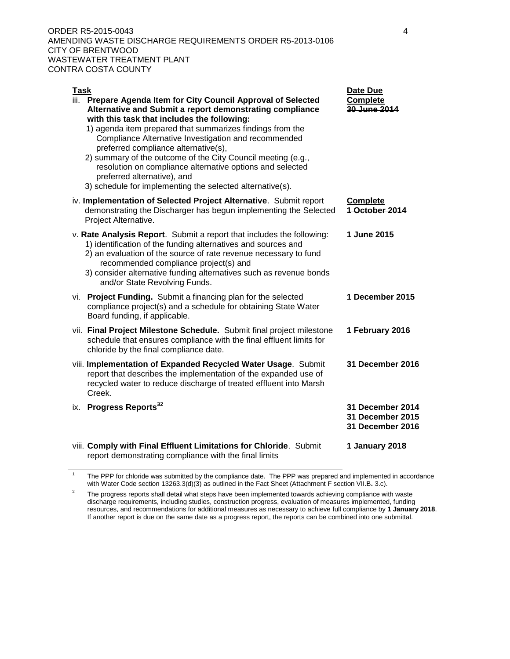ORDER R5-2015-0043 4 AMENDING WASTE DISCHARGE REQUIREMENTS ORDER R5-2013-0106 CITY OF BRENTWOOD WASTEWATER TREATMENT PLANT CONTRA COSTA COUNTY

| Task | iii. Prepare Agenda Item for City Council Approval of Selected<br>Alternative and Submit a report demonstrating compliance<br>with this task that includes the following:<br>1) agenda item prepared that summarizes findings from the<br>Compliance Alternative Investigation and recommended<br>preferred compliance alternative(s),<br>2) summary of the outcome of the City Council meeting (e.g.,<br>resolution on compliance alternative options and selected<br>preferred alternative), and<br>3) schedule for implementing the selected alternative(s). | <b>Date Due</b><br>Complete<br>30 June 2014              |
|------|-----------------------------------------------------------------------------------------------------------------------------------------------------------------------------------------------------------------------------------------------------------------------------------------------------------------------------------------------------------------------------------------------------------------------------------------------------------------------------------------------------------------------------------------------------------------|----------------------------------------------------------|
|      | iv. Implementation of Selected Project Alternative. Submit report<br>demonstrating the Discharger has begun implementing the Selected<br>Project Alternative.                                                                                                                                                                                                                                                                                                                                                                                                   | <b>Complete</b><br>1 October 2014                        |
|      | v. Rate Analysis Report. Submit a report that includes the following:<br>1) identification of the funding alternatives and sources and<br>2) an evaluation of the source of rate revenue necessary to fund<br>recommended compliance project(s) and<br>3) consider alternative funding alternatives such as revenue bonds<br>and/or State Revolving Funds.                                                                                                                                                                                                      | 1 June 2015                                              |
|      | vi. Project Funding. Submit a financing plan for the selected<br>compliance project(s) and a schedule for obtaining State Water<br>Board funding, if applicable.                                                                                                                                                                                                                                                                                                                                                                                                | 1 December 2015                                          |
|      | vii. Final Project Milestone Schedule. Submit final project milestone<br>schedule that ensures compliance with the final effluent limits for<br>chloride by the final compliance date.                                                                                                                                                                                                                                                                                                                                                                          | 1 February 2016                                          |
|      | viii. Implementation of Expanded Recycled Water Usage. Submit<br>report that describes the implementation of the expanded use of<br>recycled water to reduce discharge of treated effluent into Marsh<br>Creek.                                                                                                                                                                                                                                                                                                                                                 | 31 December 2016                                         |
|      | ix. Progress Reports <sup>32</sup>                                                                                                                                                                                                                                                                                                                                                                                                                                                                                                                              | 31 December 2014<br>31 December 2015<br>31 December 2016 |
|      | viii. Comply with Final Effluent Limitations for Chloride. Submit<br>report demonstrating compliance with the final limits                                                                                                                                                                                                                                                                                                                                                                                                                                      | 1 January 2018                                           |

1 The PPP for chloride was submitted by the compliance date. The PPP was prepared and implemented in accordance with Water Code section 13263.3(d)(3) as outlined in the Fact Sheet (Attachment F section VII.B**.** 3.c).

<sup>2</sup> The progress reports shall detail what steps have been implemented towards achieving compliance with waste discharge requirements, including studies, construction progress, evaluation of measures implemented, funding resources, and recommendations for additional measures as necessary to achieve full compliance by **1 January 2018**. If another report is due on the same date as a progress report, the reports can be combined into one submittal.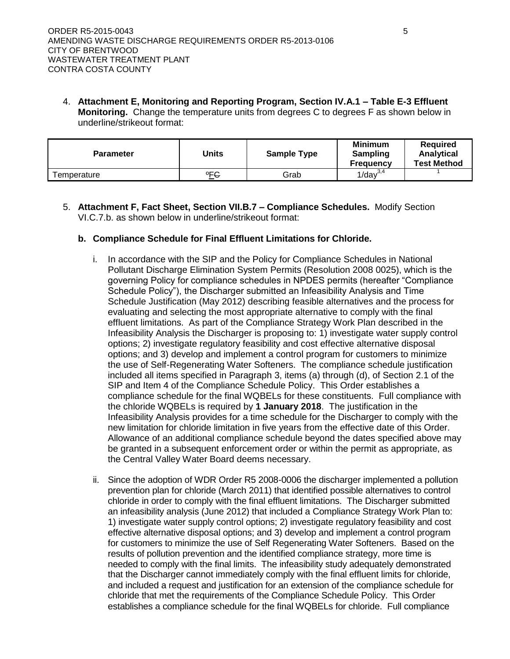4. **Attachment E, Monitoring and Reporting Program, Section IV.A.1 – Table E-3 Effluent Monitoring.** Change the temperature units from degrees C to degrees F as shown below in underline/strikeout format:

| <b>Parameter</b> | Units         | <b>Sample Type</b> | <b>Minimum</b><br>Sampling<br><b>Frequency</b> | Required<br><b>Analytical</b><br><b>Test Method</b> |
|------------------|---------------|--------------------|------------------------------------------------|-----------------------------------------------------|
| Femperature      | $^{\circ}$ FG | Grab               | $1$ /day $^{3,4}$                              |                                                     |

5. **Attachment F, Fact Sheet, Section VII.B.7 – Compliance Schedules.** Modify Section VI.C.7.b. as shown below in underline/strikeout format:

### **b. Compliance Schedule for Final Effluent Limitations for Chloride.**

- i. In accordance with the SIP and the Policy for Compliance Schedules in National Pollutant Discharge Elimination System Permits (Resolution 2008 0025), which is the governing Policy for compliance schedules in NPDES permits (hereafter "Compliance Schedule Policy"), the Discharger submitted an Infeasibility Analysis and Time Schedule Justification (May 2012) describing feasible alternatives and the process for evaluating and selecting the most appropriate alternative to comply with the final effluent limitations. As part of the Compliance Strategy Work Plan described in the Infeasibility Analysis the Discharger is proposing to: 1) investigate water supply control options; 2) investigate regulatory feasibility and cost effective alternative disposal options; and 3) develop and implement a control program for customers to minimize the use of Self-Regenerating Water Softeners. The compliance schedule justification included all items specified in Paragraph 3, items (a) through (d), of Section 2.1 of the SIP and Item 4 of the Compliance Schedule Policy. This Order establishes a compliance schedule for the final WQBELs for these constituents. Full compliance with the chloride WQBELs is required by **1 January 2018**. The justification in the Infeasibility Analysis provides for a time schedule for the Discharger to comply with the new limitation for chloride limitation in five years from the effective date of this Order. Allowance of an additional compliance schedule beyond the dates specified above may be granted in a subsequent enforcement order or within the permit as appropriate, as the Central Valley Water Board deems necessary.
- ii. Since the adoption of WDR Order R5 2008-0006 the discharger implemented a pollution prevention plan for chloride (March 2011) that identified possible alternatives to control chloride in order to comply with the final effluent limitations. The Discharger submitted an infeasibility analysis (June 2012) that included a Compliance Strategy Work Plan to: 1) investigate water supply control options; 2) investigate regulatory feasibility and cost effective alternative disposal options; and 3) develop and implement a control program for customers to minimize the use of Self Regenerating Water Softeners. Based on the results of pollution prevention and the identified compliance strategy, more time is needed to comply with the final limits. The infeasibility study adequately demonstrated that the Discharger cannot immediately comply with the final effluent limits for chloride, and included a request and justification for an extension of the compliance schedule for chloride that met the requirements of the Compliance Schedule Policy. This Order establishes a compliance schedule for the final WQBELs for chloride. Full compliance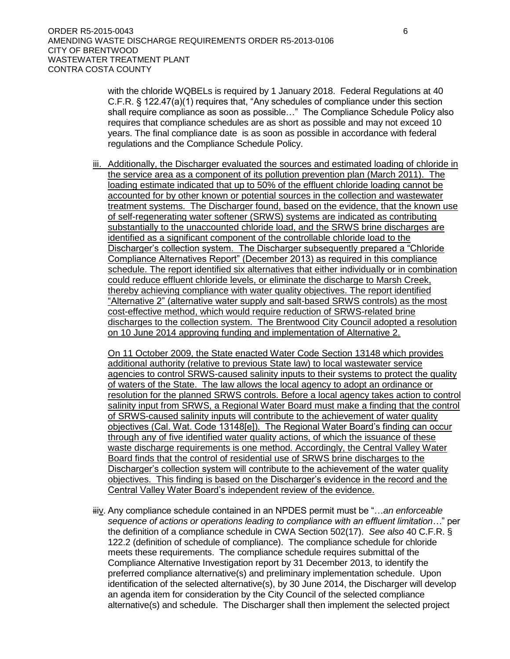with the chloride WQBELs is required by 1 January 2018. Federal Regulations at 40 C.F.R. § 122.47(a)(1) requires that, "Any schedules of compliance under this section shall require compliance as soon as possible…" The Compliance Schedule Policy also requires that compliance schedules are as short as possible and may not exceed 10 years. The final compliance date is as soon as possible in accordance with federal regulations and the Compliance Schedule Policy.

iii. Additionally, the Discharger evaluated the sources and estimated loading of chloride in the service area as a component of its pollution prevention plan (March 2011). The loading estimate indicated that up to 50% of the effluent chloride loading cannot be accounted for by other known or potential sources in the collection and wastewater treatment systems. The Discharger found, based on the evidence, that the known use of self-regenerating water softener (SRWS) systems are indicated as contributing substantially to the unaccounted chloride load, and the SRWS brine discharges are identified as a significant component of the controllable chloride load to the Discharger's collection system. The Discharger subsequently prepared a "Chloride Compliance Alternatives Report" (December 2013) as required in this compliance schedule. The report identified six alternatives that either individually or in combination could reduce effluent chloride levels, or eliminate the discharge to Marsh Creek, thereby achieving compliance with water quality objectives. The report identified "Alternative 2" (alternative water supply and salt-based SRWS controls) as the most cost-effective method, which would require reduction of SRWS-related brine discharges to the collection system. The Brentwood City Council adopted a resolution on 10 June 2014 approving funding and implementation of Alternative 2.

On 11 October 2009, the State enacted Water Code Section 13148 which provides additional authority (relative to previous State law) to local wastewater service agencies to control SRWS-caused salinity inputs to their systems to protect the quality of waters of the State. The law allows the local agency to adopt an ordinance or resolution for the planned SRWS controls. Before a local agency takes action to control salinity input from SRWS, a Regional Water Board must make a finding that the control of SRWS-caused salinity inputs will contribute to the achievement of water quality objectives (Cal. Wat. Code 13148[e]). The Regional Water Board's finding can occur through any of five identified water quality actions, of which the issuance of these waste discharge requirements is one method. Accordingly, the Central Valley Water Board finds that the control of residential use of SRWS brine discharges to the Discharger's collection system will contribute to the achievement of the water quality objectives. This finding is based on the Discharger's evidence in the record and the Central Valley Water Board's independent review of the evidence.

iiiv. Any compliance schedule contained in an NPDES permit must be "…*an enforceable sequence of actions or operations leading to compliance with an effluent limitation…*" per the definition of a compliance schedule in CWA Section 502(17). *See also* 40 C.F.R. § 122.2 (definition of schedule of compliance). The compliance schedule for chloride meets these requirements. The compliance schedule requires submittal of the Compliance Alternative Investigation report by 31 December 2013, to identify the preferred compliance alternative(s) and preliminary implementation schedule. Upon identification of the selected alternative(s), by 30 June 2014, the Discharger will develop an agenda item for consideration by the City Council of the selected compliance alternative(s) and schedule. The Discharger shall then implement the selected project